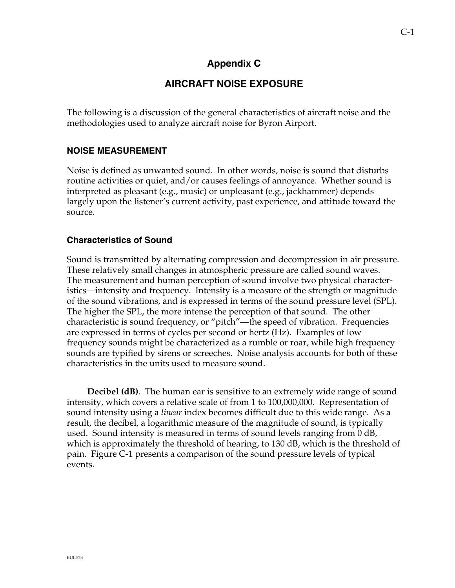## **Appendix C**

# **AIRCRAFT NOISE EXPOSURE**

The following is a discussion of the general characteristics of aircraft noise and the methodologies used to analyze aircraft noise for Byron Airport.

### **NOISE MEASUREMENT**

Noise is defined as unwanted sound. In other words, noise is sound that disturbs routine activities or quiet, and/or causes feelings of annoyance. Whether sound is interpreted as pleasant (e.g., music) or unpleasant (e.g., jackhammer) depends largely upon the listener's current activity, past experience, and attitude toward the source.

## **Characteristics of Sound**

Sound is transmitted by alternating compression and decompression in air pressure. These relatively small changes in atmospheric pressure are called sound waves. The measurement and human perception of sound involve two physical characteristics—intensity and frequency. Intensity is a measure of the strength or magnitude of the sound vibrations, and is expressed in terms of the sound pressure level (SPL). The higher the SPL, the more intense the perception of that sound. The other characteristic is sound frequency, or "pitch"—the speed of vibration. Frequencies are expressed in terms of cycles per second or hertz (Hz). Examples of low frequency sounds might be characterized as a rumble or roar, while high frequency sounds are typified by sirens or screeches. Noise analysis accounts for both of these characteristics in the units used to measure sound.

**Decibel (dB)**. The human ear is sensitive to an extremely wide range of sound intensity, which covers a relative scale of from 1 to 100,000,000. Representation of sound intensity using a *linear* index becomes difficult due to this wide range. As a result, the decibel, a logarithmic measure of the magnitude of sound, is typically used. Sound intensity is measured in terms of sound levels ranging from 0 dB, which is approximately the threshold of hearing, to 130 dB, which is the threshold of pain. Figure C-1 presents a comparison of the sound pressure levels of typical events.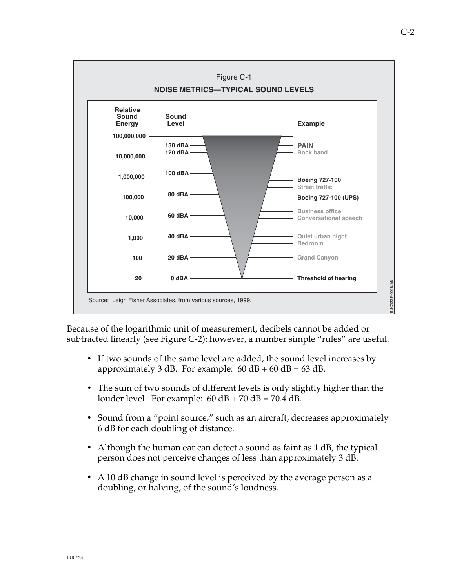

Because of the logarithmic unit of measurement, decibels cannot be added or subtracted linearly (see Figure C-2); however, a number simple "rules" are useful.

- If two sounds of the same level are added, the sound level increases by approximately 3 dB. For example:  $60$  dB +  $60$  dB =  $63$  dB.
- The sum of two sounds of different levels is only slightly higher than the louder level. For example:  $60$  dB +  $70$  dB =  $70.4$  dB.
- Sound from a "point source," such as an aircraft, decreases approximately 6 dB for each doubling of distance.
- Although the human ear can detect a sound as faint as  $1 \text{ dB}$ , the typical person does not perceive changes of less than approximately 3 dB.
- A 10 dB change in sound level is perceived by the average person as a doubling, or halving, of the sound's loudness.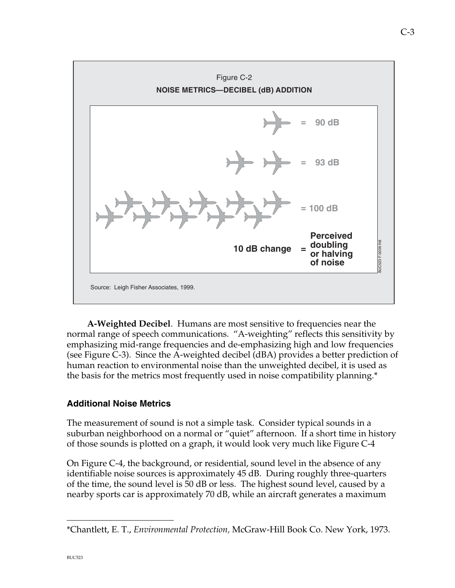

**A-Weighted Decibel**. Humans are most sensitive to frequencies near the normal range of speech communications. "A-weighting" reflects this sensitivity by emphasizing mid-range frequencies and de-emphasizing high and low frequencies (see Figure C-3). Since the A-weighted decibel (dBA) provides a better prediction of human reaction to environmental noise than the unweighted decibel, it is used as the basis for the metrics most frequently used in noise compatibility planning.\*

## **Additional Noise Metrics**

The measurement of sound is not a simple task. Consider typical sounds in a suburban neighborhood on a normal or "quiet" afternoon. If a short time in history of those sounds is plotted on a graph, it would look very much like Figure C-4

On Figure C-4, the background, or residential, sound level in the absence of any identifiable noise sources is approximately 45 dB. During roughly three-quarters of the time, the sound level is 50 dB or less. The highest sound level, caused by a nearby sports car is approximately 70 dB, while an aircraft generates a maximum

—<br>—

<sup>\*</sup>Chantlett, E. T., *Environmental Protection,* McGraw-Hill Book Co. New York, 1973.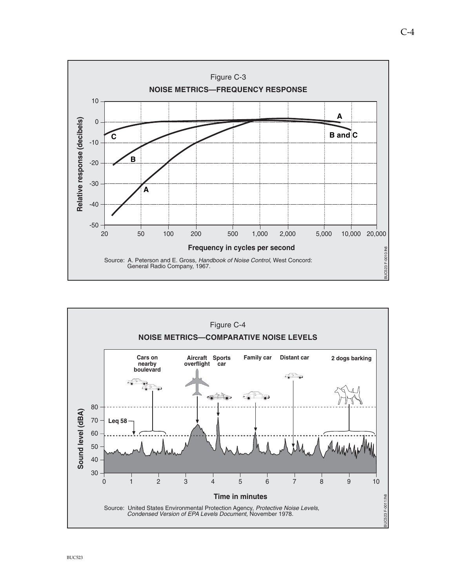

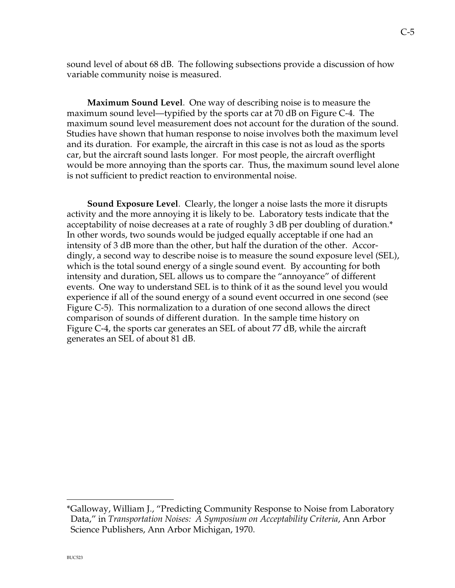sound level of about 68 dB. The following subsections provide a discussion of how variable community noise is measured.

**Maximum Sound Level**. One way of describing noise is to measure the maximum sound level—typified by the sports car at 70 dB on Figure C-4. The maximum sound level measurement does not account for the duration of the sound. Studies have shown that human response to noise involves both the maximum level and its duration. For example, the aircraft in this case is not as loud as the sports car, but the aircraft sound lasts longer. For most people, the aircraft overflight would be more annoying than the sports car. Thus, the maximum sound level alone is not sufficient to predict reaction to environmental noise.

**Sound Exposure Level**. Clearly, the longer a noise lasts the more it disrupts activity and the more annoying it is likely to be. Laboratory tests indicate that the acceptability of noise decreases at a rate of roughly 3 dB per doubling of duration.\* In other words, two sounds would be judged equally acceptable if one had an intensity of 3 dB more than the other, but half the duration of the other. Accordingly, a second way to describe noise is to measure the sound exposure level (SEL), which is the total sound energy of a single sound event. By accounting for both intensity and duration, SEL allows us to compare the "annoyance" of different events. One way to understand SEL is to think of it as the sound level you would experience if all of the sound energy of a sound event occurred in one second (see Figure C-5). This normalization to a duration of one second allows the direct comparison of sounds of different duration. In the sample time history on Figure C-4, the sports car generates an SEL of about 77 dB, while the aircraft generates an SEL of about 81 dB.

—<br>—

<sup>\*</sup>Galloway, William J., "Predicting Community Response to Noise from Laboratory Data," in *Transportation Noises: A Symposium on Acceptability Criteria*, Ann Arbor Science Publishers, Ann Arbor Michigan, 1970.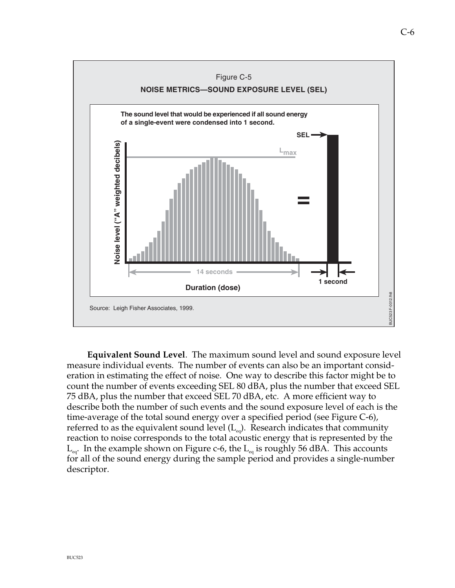

Bourge: Loigh Fisher Associates. 1999.<br>
Bourge: Loigh Fisher Associates. 1999.<br>
Equivalent Sound Level. The maximum sound level and sound exposure level<br>
measure individual events. The number of events can also be an impo **Equivalent Sound Level**. The maximum sound level and sound exposure level measure individual events. The number of events can also be an important consideration in estimating the effect of noise. One way to describe this factor might be to count the number of events exceeding SEL 80 dBA, plus the number that exceed SEL 75 dBA, plus the number that exceed SEL 70 dBA, etc. A more efficient way to describe both the number of such events and the sound exposure level of each is the time-average of the total sound energy over a specified period (see Figure C-6), referred to as the equivalent sound level  $(L_{eq})$ . Research indicates that community reaction to noise corresponds to the total acoustic energy that is represented by the  $L_{eq}$ . In the example shown on Figure c-6, the  $L_{eq}$  is roughly 56 dBA. This accounts for all of the sound energy during the sample period and provides a single-number descriptor.

**Duration (dose)**

Source: Leigh Fisher Associates, 1999.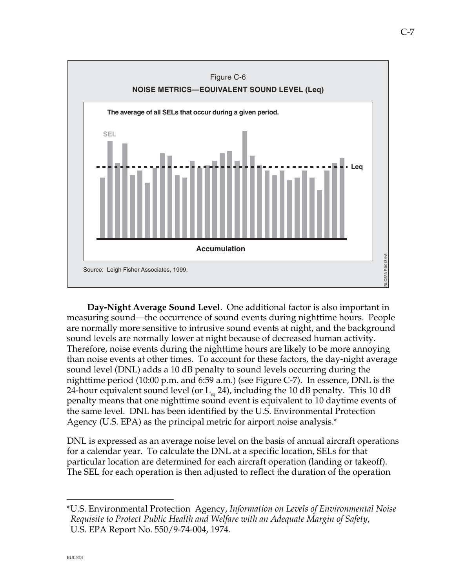

**Example 12.1**<br> **Example 18.1** Finder Associates, 1999.<br> **Example 18.1** Finder Associates, 1999.<br> **Day-Night Average Sound Level**. One additional factor is also important im<br>
emeasuring sound—the occurrence of sound event **Day-Night Average Sound Level**. One additional factor is also important in measuring sound—the occurrence of sound events during nighttime hours. People are normally more sensitive to intrusive sound events at night, and the background sound levels are normally lower at night because of decreased human activity. Therefore, noise events during the nighttime hours are likely to be more annoying than noise events at other times. To account for these factors, the day-night average sound level (DNL) adds a 10 dB penalty to sound levels occurring during the nighttime period (10:00 p.m. and 6:59 a.m.) (see Figure C-7). In essence, DNL is the 24-hour equivalent sound level (or  $L_{eq}$  24), including the 10 dB penalty. This 10 dB penalty means that one nighttime sound event is equivalent to 10 daytime events of the same level. DNL has been identified by the U.S. Environmental Protection Agency (U.S. EPA) as the principal metric for airport noise analysis.\*

DNL is expressed as an average noise level on the basis of annual aircraft operations for a calendar year. To calculate the DNL at a specific location, SELs for that particular location are determined for each aircraft operation (landing or takeoff). The SEL for each operation is then adjusted to reflect the duration of the operation

—<br>—

<sup>\*</sup>U.S. Environmental Protection Agency, *Information on Levels of Environmental Noise Requisite to Protect Public Health and Welfare with an Adequate Margin of Safety*, U.S. EPA Report No. 550/9-74-004, 1974.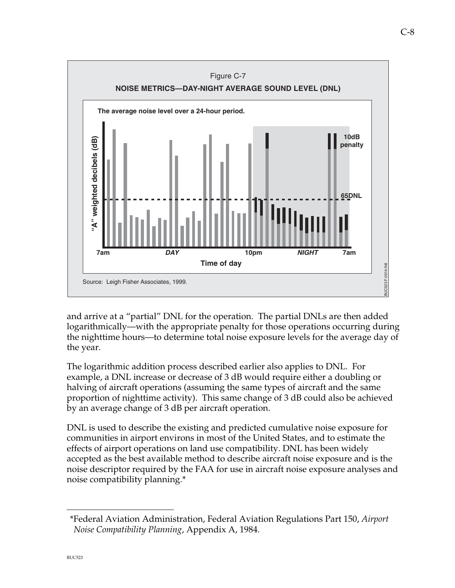

and arrive at a "partial" DNL for the operation. The partial DNLs are then added logarithmically—with the appropriate penalty for those operations occurring during the nighttime hours—to determine total noise exposure levels for the average day of the year.

The logarithmic addition process described earlier also applies to DNL. For example, a DNL increase or decrease of 3 dB would require either a doubling or halving of aircraft operations (assuming the same types of aircraft and the same proportion of nighttime activity). This same change of 3 dB could also be achieved by an average change of 3 dB per aircraft operation.

Source: Leigh Fisher Associates, 1999.<br>
and arrive at a "partial" DNL for the operation. The partial DNLs are then added<br>
logarithmically—with the appropriate penalty for those operations occurring during the nighttime hou DNL is used to describe the existing and predicted cumulative noise exposure for communities in airport environs in most of the United States, and to estimate the effects of airport operations on land use compatibility. DNL has been widely accepted as the best available method to describe aircraft noise exposure and is the noise descriptor required by the FAA for use in aircraft noise exposure analyses and noise compatibility planning.\*

 <sup>\*</sup>Federal Aviation Administration, Federal Aviation Regulations Part 150, *Airport Noise Compatibility Planning*, Appendix A, 1984.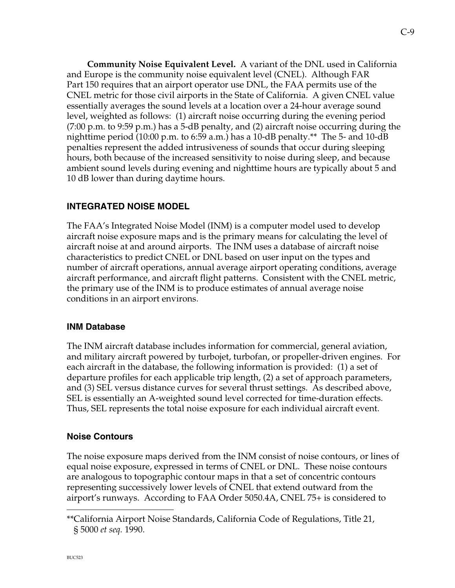**Community Noise Equivalent Level.** A variant of the DNL used in California and Europe is the community noise equivalent level (CNEL). Although FAR Part 150 requires that an airport operator use DNL, the FAA permits use of the CNEL metric for those civil airports in the State of California.A given CNEL value essentially averages the sound levels at a location over a 24-hour average sound level, weighted as follows: (1) aircraft noise occurring during the evening period (7:00 p.m. to 9:59 p.m.) has a 5-dB penalty, and (2) aircraft noise occurring during the nighttime period (10:00 p.m. to 6:59 a.m.) has a 10-dB penalty.\*\* The 5- and 10-dB penalties represent the added intrusiveness of sounds that occur during sleeping hours, both because of the increased sensitivity to noise during sleep, and because ambient sound levels during evening and nighttime hours are typically about 5 and 10 dB lower than during daytime hours.

## **INTEGRATED NOISE MODEL**

The FAA's Integrated Noise Model (INM) is a computer model used to develop aircraft noise exposure maps and is the primary means for calculating the level of aircraft noise at and around airports. The INM uses a database of aircraft noise characteristics to predict CNEL or DNL based on user input on the types and number of aircraft operations, annual average airport operating conditions, average aircraft performance, and aircraft flight patterns. Consistent with the CNEL metric, the primary use of the INM is to produce estimates of annual average noise conditions in an airport environs.

### **INM Database**

The INM aircraft database includes information for commercial, general aviation, and military aircraft powered by turbojet, turbofan, or propeller-driven engines. For each aircraft in the database, the following information is provided: (1) a set of departure profiles for each applicable trip length, (2) a set of approach parameters, and (3) SEL versus distance curves for several thrust settings. As described above, SEL is essentially an A-weighted sound level corrected for time-duration effects. Thus, SEL represents the total noise exposure for each individual aircraft event.

## **Noise Contours**

BUC<sub>523</sub>

The noise exposure maps derived from the INM consist of noise contours, or lines of equal noise exposure, expressed in terms of CNEL or DNL. These noise contours are analogous to topographic contour maps in that a set of concentric contours representing successively lower levels of CNEL that extend outward from the airport's runways. According to FAA Order 5050.4A, CNEL 75+ is considered to

<sup>\*\*</sup>California Airport Noise Standards, California Code of Regulations, Title 21, § 5000 *et seq.* 1990.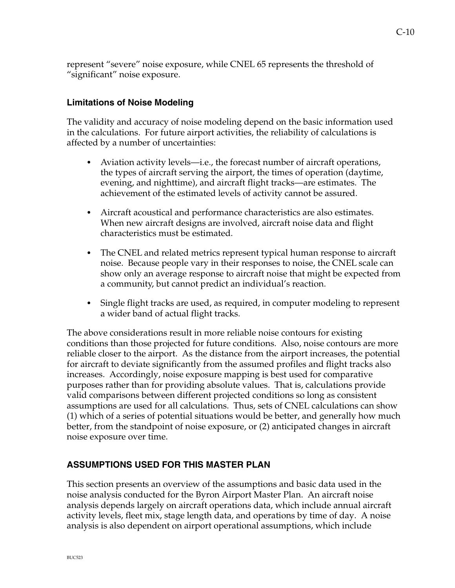represent "severe" noise exposure, while CNEL 65 represents the threshold of "significant" noise exposure.

## **Limitations of Noise Modeling**

The validity and accuracy of noise modeling depend on the basic information used in the calculations. For future airport activities, the reliability of calculations is affected by a number of uncertainties:

- Aviation activity levels—i.e., the forecast number of aircraft operations, the types of aircraft serving the airport, the times of operation (daytime, evening, and nighttime), and aircraft flight tracks—are estimates. The achievement of the estimated levels of activity cannot be assured.
- Aircraft acoustical and performance characteristics are also estimates. When new aircraft designs are involved, aircraft noise data and flight characteristics must be estimated.
- The CNEL and related metrics represent typical human response to aircraft noise. Because people vary in their responses to noise, the CNEL scale can show only an average response to aircraft noise that might be expected from a community, but cannot predict an individual's reaction.
- Single flight tracks are used, as required, in computer modeling to represent a wider band of actual flight tracks.

The above considerations result in more reliable noise contours for existing conditions than those projected for future conditions. Also, noise contours are more reliable closer to the airport. As the distance from the airport increases, the potential for aircraft to deviate significantly from the assumed profiles and flight tracks also increases. Accordingly, noise exposure mapping is best used for comparative purposes rather than for providing absolute values. That is, calculations provide valid comparisons between different projected conditions so long as consistent assumptions are used for all calculations. Thus, sets of CNEL calculations can show (1) which of a series of potential situations would be better, and generally how much better, from the standpoint of noise exposure, or (2) anticipated changes in aircraft noise exposure over time.

### **ASSUMPTIONS USED FOR THIS MASTER PLAN**

This section presents an overview of the assumptions and basic data used in the noise analysis conducted for the Byron Airport Master Plan. An aircraft noise analysis depends largely on aircraft operations data, which include annual aircraft activity levels, fleet mix, stage length data, and operations by time of day. A noise analysis is also dependent on airport operational assumptions, which include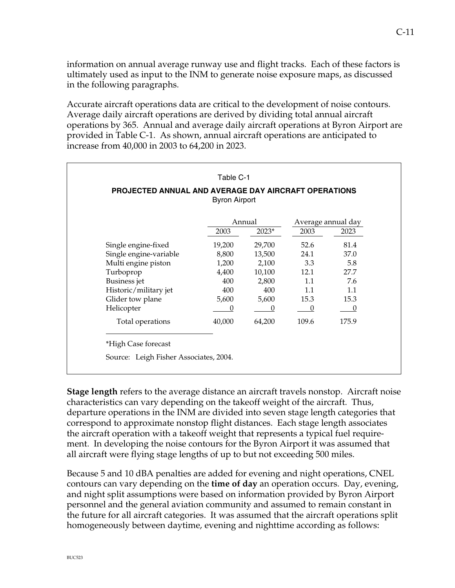information on annual average runway use and flight tracks. Each of these factors is ultimately used as input to the INM to generate noise exposure maps, as discussed in the following paragraphs.

Accurate aircraft operations data are critical to the development of noise contours. Average daily aircraft operations are derived by dividing total annual aircraft operations by 365. Annual and average daily aircraft operations at Byron Airport are provided in Table C-1. As shown, annual aircraft operations are anticipated to increase from 40,000 in 2003 to 64,200 in 2023.

|                        |        | Annual  |                  | Average annual day |  |
|------------------------|--------|---------|------------------|--------------------|--|
|                        | 2003   | $2023*$ | 2003             | 2023               |  |
| Single engine-fixed    | 19,200 | 29,700  | 52.6             | 81.4               |  |
| Single engine-variable | 8,800  | 13,500  | 24.1             | 37.0               |  |
| Multi engine piston    | 1,200  | 2,100   | 3.3 <sub>2</sub> | 5.8                |  |
| Turboprop              | 4,400  | 10,100  | 12.1             | 27.7               |  |
| <b>Business</b> jet    | 400    | 2,800   | 1.1              | 7.6                |  |
| Historic/military jet  | 400    | 400     | 1.1              | 1.1                |  |
| Glider tow plane       | 5,600  | 5,600   | 15.3             | 15.3               |  |
| Helicopter             | 0      | 0       | $\theta$         | $\theta$           |  |
| Total operations       | 40,000 | 64,200  | 109.6            | 175.9              |  |

**Stage length** refers to the average distance an aircraft travels nonstop. Aircraft noise characteristics can vary depending on the takeoff weight of the aircraft. Thus, departure operations in the INM are divided into seven stage length categories that correspond to approximate nonstop flight distances. Each stage length associates the aircraft operation with a takeoff weight that represents a typical fuel requirement. In developing the noise contours for the Byron Airport it was assumed that all aircraft were flying stage lengths of up to but not exceeding 500 miles.

Because 5 and 10 dBA penalties are added for evening and night operations, CNEL contours can vary depending on the **time of day** an operation occurs. Day, evening, and night split assumptions were based on information provided by Byron Airport personnel and the general aviation community and assumed to remain constant in the future for all aircraft categories. It was assumed that the aircraft operations split homogeneously between daytime, evening and nighttime according as follows: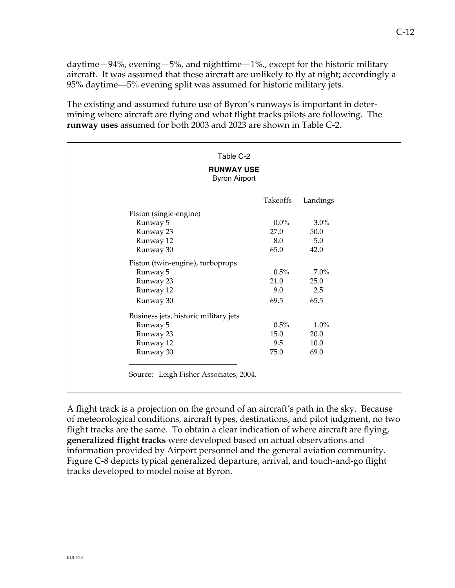daytime—94%, evening—5%, and nighttime—1%., except for the historic military aircraft. It was assumed that these aircraft are unlikely to fly at night; accordingly a 95% daytime—5% evening split was assumed for historic military jets.

The existing and assumed future use of Byron's runways is important in determining where aircraft are flying and what flight tracks pilots are following. The **runway uses** assumed for both 2003 and 2023 are shown in Table C-2.

| <b>RUNWAY USE</b><br><b>Byron Airport</b> |          |          |  |  |
|-------------------------------------------|----------|----------|--|--|
|                                           | Takeoffs | Landings |  |  |
| Piston (single-engine)                    |          |          |  |  |
| Runway 5                                  | $0.0\%$  | $3.0\%$  |  |  |
| Runway 23                                 | 27.0     | 50.0     |  |  |
| Runway 12                                 | 8.0      | 5.0      |  |  |
| Runway 30                                 | 65.0     | 42.0     |  |  |
| Piston (twin-engine), turboprops          |          |          |  |  |
| Runway 5                                  | 0.5%     | 7.0%     |  |  |
| Runway 23                                 | 21.0     | 25.0     |  |  |
| Runway 12                                 | 9.0      | 2.5      |  |  |
| Runway 30                                 | 69.5     | 65.5     |  |  |
| Business jets, historic military jets     |          |          |  |  |
| Runway 5                                  | 0.5%     | $1.0\%$  |  |  |
| Runway 23                                 | 15.0     | 20.0     |  |  |
| Runway 12                                 | 9.5      | 10.0     |  |  |
| Runway 30                                 | 75.0     | 69.0     |  |  |

A flight track is a projection on the ground of an aircraft's path in the sky. Because of meteorological conditions, aircraft types, destinations, and pilot judgment, no two flight tracks are the same. To obtain a clear indication of where aircraft are flying, **generalized flight tracks** were developed based on actual observations and information provided by Airport personnel and the general aviation community. Figure C-8 depicts typical generalized departure, arrival, and touch-and-go flight tracks developed to model noise at Byron.